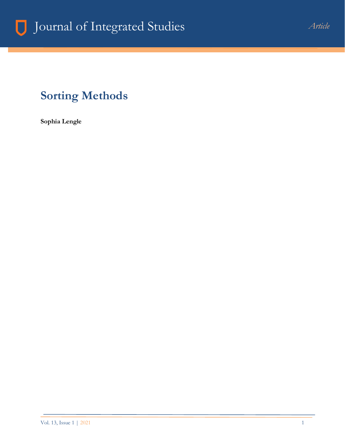## **Sorting Methods**

**Sophia Lengle**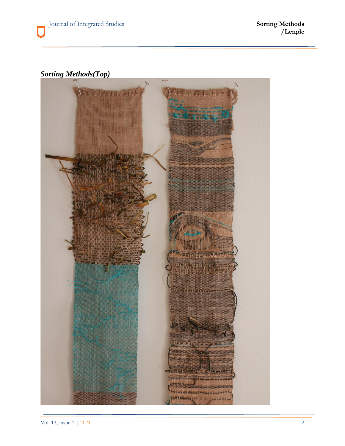## *Sorting Methods(Top)*

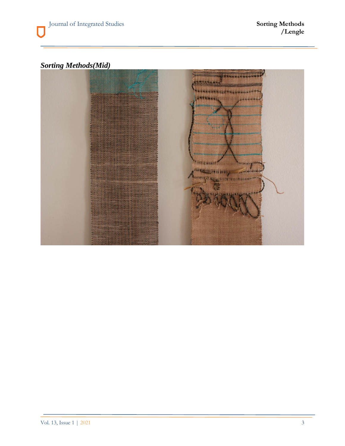## *Sorting Methods(Mid)*

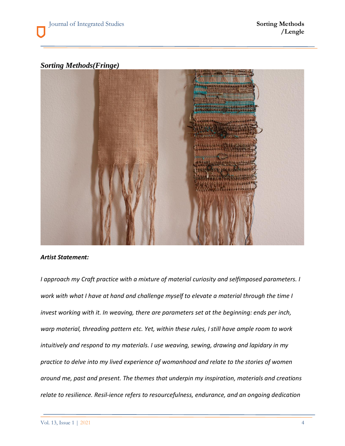*Sorting Methods(Fringe)*



## *Artist Statement:*

*I approach my Craft practice with a mixture of material curiosity and selfimposed parameters. I work with what I have at hand and challenge myself to elevate a material through the time I invest working with it. In weaving, there are parameters set at the beginning: ends per inch, warp material, threading pattern etc. Yet, within these rules, I still have ample room to work intuitively and respond to my materials. I use weaving, sewing, drawing and lapidary in my practice to delve into my lived experience of womanhood and relate to the stories of women around me, past and present. The themes that underpin my inspiration, materials and creations relate to resilience. Resil-ience refers to resourcefulness, endurance, and an ongoing dedication*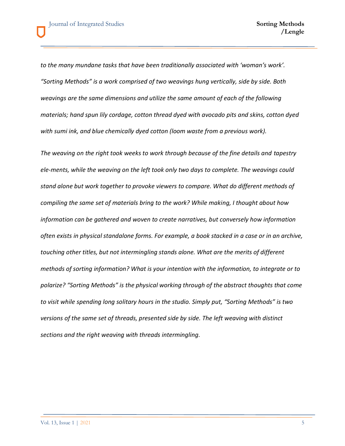*to the many mundane tasks that have been traditionally associated with 'woman's work'. "Sorting Methods" is a work comprised of two weavings hung vertically, side by side. Both weavings are the same dimensions and utilize the same amount of each of the following materials; hand spun lily cordage, cotton thread dyed with avocado pits and skins, cotton dyed with sumi ink, and blue chemically dyed cotton (loom waste from a previous work).*

*The weaving on the right took weeks to work through because of the fine details and tapestry ele-ments, while the weaving on the left took only two days to complete. The weavings could stand alone but work together to provoke viewers to compare. What do different methods of compiling the same set of materials bring to the work? While making, I thought about how information can be gathered and woven to create narratives, but conversely how information often exists in physical standalone forms. For example, a book stacked in a case or in an archive, touching other titles, but not intermingling stands alone. What are the merits of different methods of sorting information? What is your intention with the information, to integrate or to polarize? "Sorting Methods" is the physical working through of the abstract thoughts that come to visit while spending long solitary hours in the studio. Simply put, "Sorting Methods" is two versions of the same set of threads, presented side by side. The left weaving with distinct sections and the right weaving with threads intermingling.*